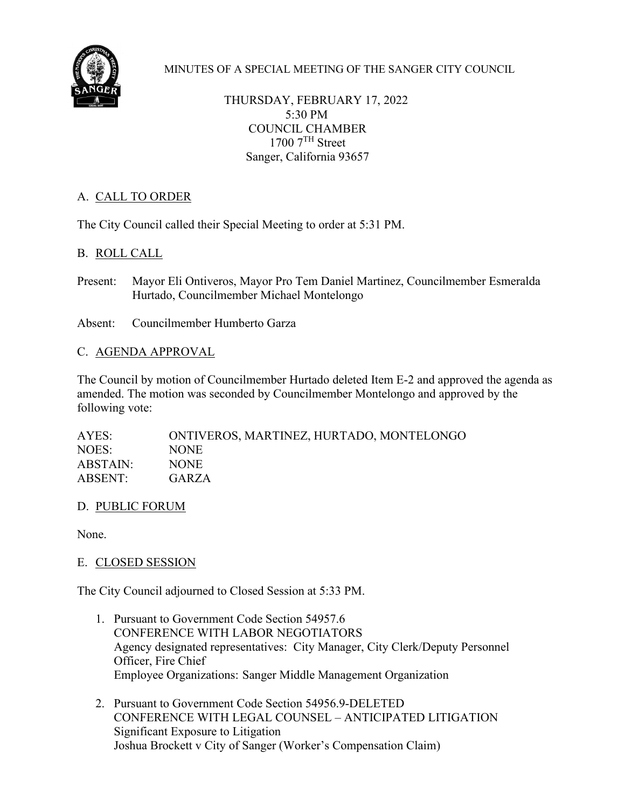

MINUTES OF A SPECIAL MEETING OF THE SANGER CITY COUNCIL

THURSDAY, FEBRUARY 17, 2022 5:30 PM COUNCIL CHAMBER  $1700$   $7<sup>TH</sup>$  Street Sanger, California 93657

# A. CALL TO ORDER

The City Council called their Special Meeting to order at 5:31 PM.

## B. ROLL CALL

Present: Mayor Eli Ontiveros, Mayor Pro Tem Daniel Martinez, Councilmember Esmeralda Hurtado, Councilmember Michael Montelongo

Absent: Councilmember Humberto Garza

### C. AGENDA APPROVAL

The Council by motion of Councilmember Hurtado deleted Item E-2 and approved the agenda as amended. The motion was seconded by Councilmember Montelongo and approved by the following vote:

AYES: ONTIVEROS, MARTINEZ, HURTADO, MONTELONGO NOES: NONE ABSTAIN: NONE ABSENT: GARZA

D. PUBLIC FORUM

None.

## E. CLOSED SESSION

The City Council adjourned to Closed Session at 5:33 PM.

- 1. Pursuant to Government Code Section 54957.6 CONFERENCE WITH LABOR NEGOTIATORS Agency designated representatives: City Manager, City Clerk/Deputy Personnel Officer, Fire Chief Employee Organizations: Sanger Middle Management Organization
- 2. Pursuant to Government Code Section 54956.9-DELETED CONFERENCE WITH LEGAL COUNSEL – ANTICIPATED LITIGATION Significant Exposure to Litigation Joshua Brockett v City of Sanger (Worker's Compensation Claim)